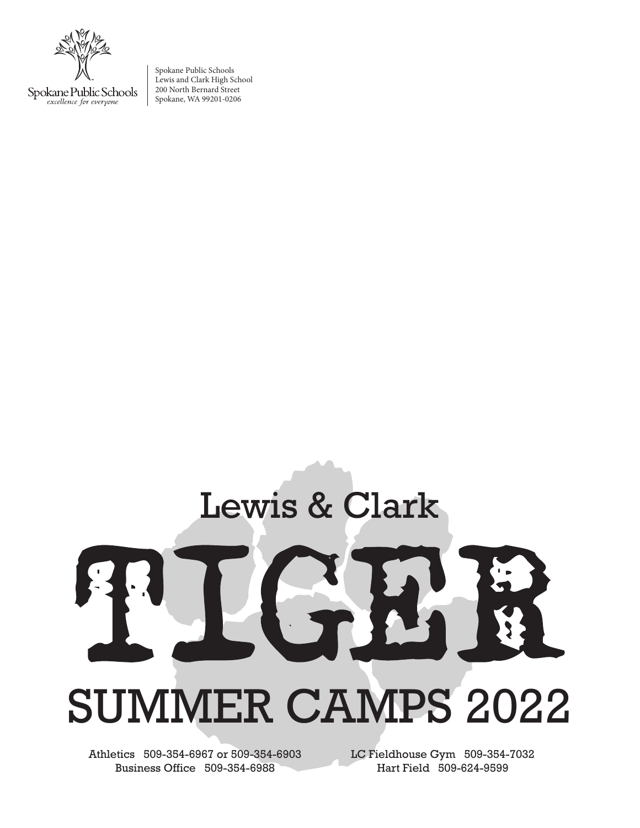Spokane Public Schools excellence for everyone

Spokane Public Schools Lewis and Clark High School 200 North Bernard Street Spokane, WA 99201-0206

## Lewis & Clark SUMMER CAMPS 2022

Athletics 509-354-6967 or 509-354-6903 Business Office 509-354-6988

LC Fieldhouse Gym 509-354-7032 Hart Field 509-624-9599